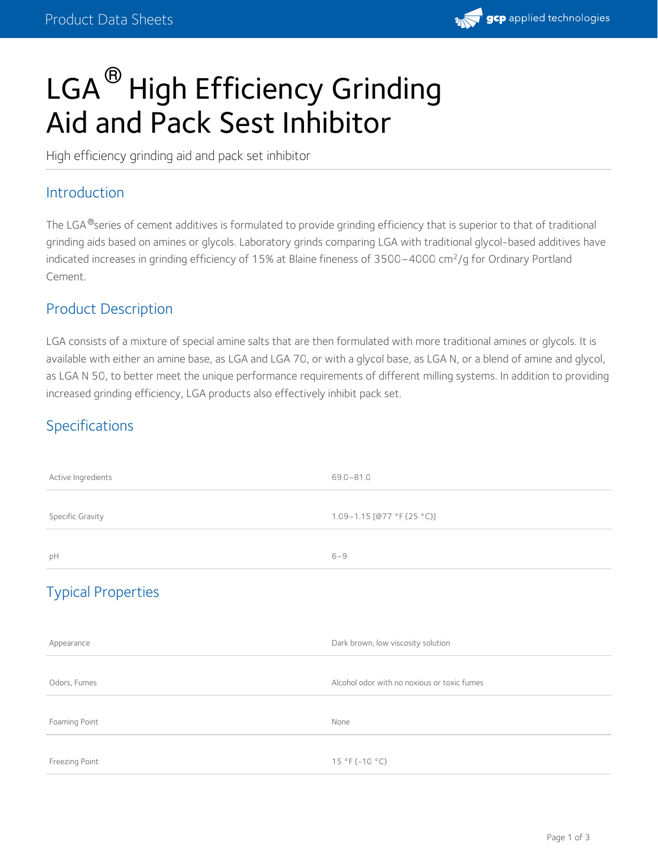

# LGA  $^\circledR$  High Efficiency Grinding Aid and Pack Sest Inhibitor

High efficiency grinding aid and pack set inhibitor

#### Introduction

The LGA®series of cement additives is formulated to provide grinding efficiency that is superior to that of traditional grinding aids based on amines or glycols. Laboratory grinds comparing LGA with traditional glycol-based additives have indicated increases in grinding efficiency of 15% at Blaine fineness of 3500–4000 cm<sup>2</sup>/g for Ordinary Portland Cement.

## Product Description

LGA consists of a mixture of special amine salts that are then formulated with more traditional amines or glycols. It is available with either an amine base, as LGA and LGA 70, or with a glycol base, as LGA N, or a blend of amine and glycol, as LGA N 50, to better meet the unique performance requirements of different milling systems. In addition to providing increased grinding efficiency, LGA products also effectively inhibit pack set.

## Specifications

| Active Ingredients        | $69.0 - 81.0$                               |
|---------------------------|---------------------------------------------|
| Specific Gravity          | 1.09-1.15 [@77 °F (25 °C)]                  |
| pH                        | $6 - 9$                                     |
| <b>Typical Properties</b> |                                             |
| Appearance                | Dark brown, low viscosity solution          |
| Odors, Fumes              | Alcohol odor with no noxious or toxic fumes |
| Foaming Point             | None                                        |
| Freezing Point            | 15 °F (-10 °C)                              |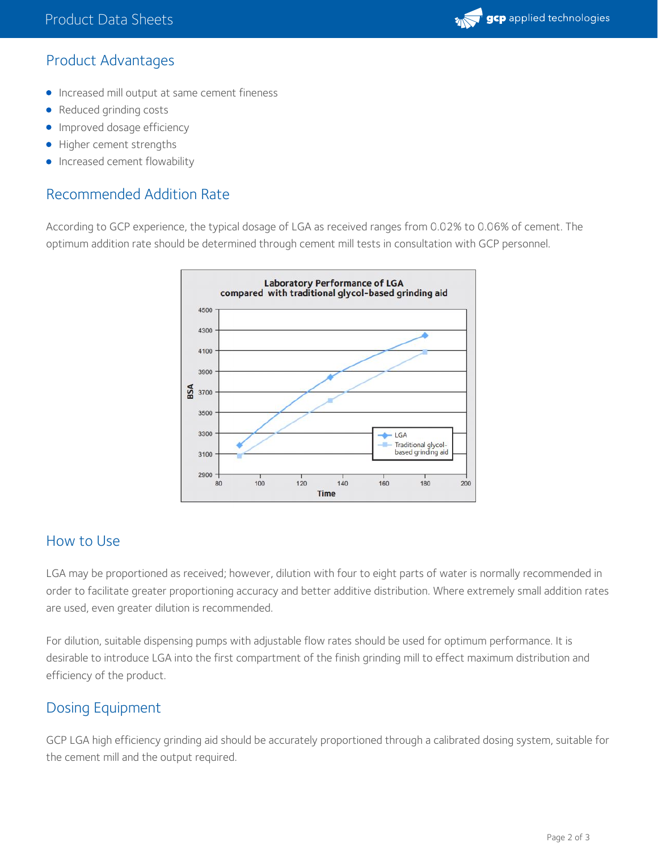

## Product Advantages

- **Increased mill output at same cement fineness**
- Reduced grinding costs
- **Improved dosage efficiency**
- Higher cement strengths
- Increased cement flowability

### Recommended Addition Rate

According to GCP experience, the typical dosage of LGA as received ranges from 0.02% to 0.06% of cement. The optimum addition rate should be determined through cement mill tests in consultation with GCP personnel.



#### How to Use

LGA may be proportioned as received; however, dilution with four to eight parts of water is normally recommended in order to facilitate greater proportioning accuracy and better additive distribution. Where extremely small addition rates are used, even greater dilution is recommended.

For dilution, suitable dispensing pumps with adjustable flow rates should be used for optimum performance. It is desirable to introduce LGA into the first compartment of the finish grinding mill to effect maximum distribution and efficiency of the product.

## Dosing Equipment

GCP LGA high efficiency grinding aid should be accurately proportioned through a calibrated dosing system, suitable for the cement mill and the output required.